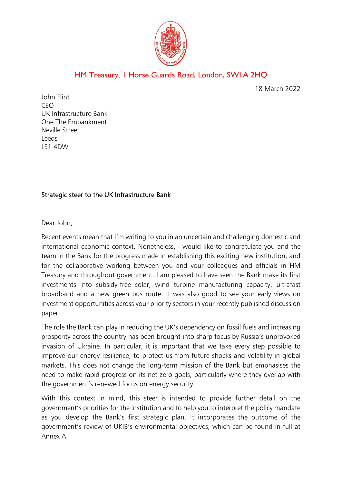

# HM Treasury, 1 Horse Guards Road, London, SW1A 2HQ

18 March 2022

John Flint CEO UK Infrastructure Bank One The Embankment Neville Street Leeds LS1 4DW

## Strategic steer to the UK Infrastructure Bank

Dear John,

Recent events mean that I'm writing to you in an uncertain and challenging domestic and international economic context. Nonetheless, I would like to congratulate you and the team in the Bank for the progress made in establishing this exciting new institution, and for the collaborative working between you and your colleagues and officials in HM Treasury and throughout government. I am pleased to have seen the Bank make its first investments into subsidy-free solar, wind turbine manufacturing capacity, ultrafast broadband and a new green bus route. It was also good to see your early views on investment opportunities across your priority sectors in your recently published discussion paper.

The role the Bank can play in reducing the UK's dependency on fossil fuels and increasing prosperity across the country has been brought into sharp focus by Russia's unprovoked invasion of Ukraine. In particular, it is important that we take every step possible to improve our energy resilience, to protect us from future shocks and volatility in global markets. This does not change the long-term mission of the Bank but emphasises the need to make rapid progress on its net zero goals, particularly where they overlap with the government's renewed focus on energy security.

With this context in mind, this steer is intended to provide further detail on the government's priorities for the institution and to help you to interpret the policy mandate as you develop the Bank's first strategic plan. It incorporates the outcome of the government's review of UKIB's environmental objectives, which can be found in full at Annex A.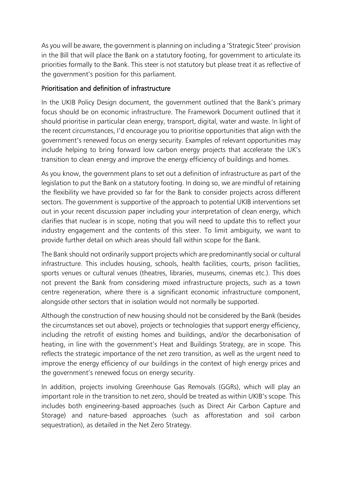As you will be aware, the government is planning on including a 'Strategic Steer' provision in the Bill that will place the Bank on a statutory footing, for government to articulate its priorities formally to the Bank. This steer is not statutory but please treat it as reflective of the government's position for this parliament.

## Prioritisation and definition of infrastructure

In the UKIB Policy Design document, the government outlined that the Bank's primary focus should be on economic infrastructure. The Framework Document outlined that it should prioritise in particular clean energy, transport, digital, water and waste. In light of the recent circumstances, I'd encourage you to prioritise opportunities that align with the government's renewed focus on energy security. Examples of relevant opportunities may include helping to bring forward low carbon energy projects that accelerate the UK's transition to clean energy and improve the energy efficiency of buildings and homes.

As you know, the government plans to set out a definition of infrastructure as part of the legislation to put the Bank on a statutory footing. In doing so, we are mindful of retaining the flexibility we have provided so far for the Bank to consider projects across different sectors. The government is supportive of the approach to potential UKIB interventions set out in your recent discussion paper including your interpretation of clean energy, which clarifies that nuclear is in scope, noting that you will need to update this to reflect your industry engagement and the contents of this steer. To limit ambiguity, we want to provide further detail on which areas should fall within scope for the Bank.

The Bank should not ordinarily support projects which are predominantly social or cultural infrastructure. This includes housing, schools, health facilities, courts, prison facilities, sports venues or cultural venues (theatres, libraries, museums, cinemas etc.). This does not prevent the Bank from considering mixed infrastructure projects, such as a town centre regeneration, where there is a significant economic infrastructure component, alongside other sectors that in isolation would not normally be supported.

Although the construction of new housing should not be considered by the Bank (besides the circumstances set out above), projects or technologies that support energy efficiency, including the retrofit of existing homes and buildings, and/or the decarbonisation of heating, in line with the government's Heat and Buildings Strategy, are in scope. This reflects the strategic importance of the net zero transition, as well as the urgent need to improve the energy efficiency of our buildings in the context of high energy prices and the government's renewed focus on energy security.

In addition, projects involving Greenhouse Gas Removals (GGRs), which will play an important role in the transition to net zero, should be treated as within UKIB's scope. This includes both engineering-based approaches (such as Direct Air Carbon Capture and Storage) and nature-based approaches (such as afforestation and soil carbon sequestration), as detailed in the Net Zero Strategy.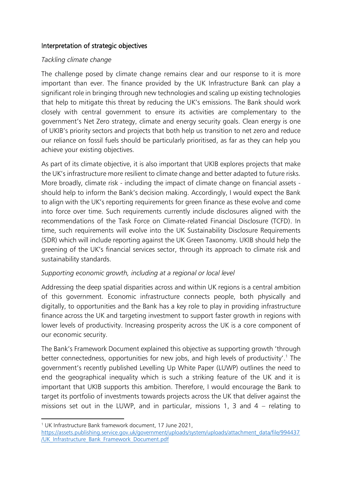#### Interpretation of strategic objectives

#### *Tackling climate change*

The challenge posed by climate change remains clear and our response to it is more important than ever. The finance provided by the UK Infrastructure Bank can play a significant role in bringing through new technologies and scaling up existing technologies that help to mitigate this threat by reducing the UK's emissions. The Bank should work closely with central government to ensure its activities are complementary to the government's Net Zero strategy, climate and energy security goals. Clean energy is one of UKIB's priority sectors and projects that both help us transition to net zero and reduce our reliance on fossil fuels should be particularly prioritised, as far as they can help you achieve your existing objectives.

As part of its climate objective, it is also important that UKIB explores projects that make the UK's infrastructure more resilient to climate change and better adapted to future risks. More broadly, climate risk - including the impact of climate change on financial assets should help to inform the Bank's decision making. Accordingly, I would expect the Bank to align with the UK's reporting requirements for green finance as these evolve and come into force over time. Such requirements currently include disclosures aligned with the recommendations of the Task Force on Climate-related Financial Disclosure (TCFD). In time, such requirements will evolve into the UK Sustainability Disclosure Requirements (SDR) which will include reporting against the UK Green Taxonomy. UKIB should help the greening of the UK's financial services sector, through its approach to climate risk and sustainability standards.

#### *Supporting economic growth, including at a regional or local level*

Addressing the deep spatial disparities across and within UK regions is a central ambition of this government. Economic infrastructure connects people, both physically and digitally, to opportunities and the Bank has a key role to play in providing infrastructure finance across the UK and targeting investment to support faster growth in regions with lower levels of productivity. Increasing prosperity across the UK is a core component of our economic security.

The Bank's Framework Document explained this objective as supporting growth 'through better connectedness, opportunities for new jobs, and high levels of productivity'.<sup>1</sup> The government's recently published Levelling Up White Paper (LUWP) outlines the need to end the geographical inequality which is such a striking feature of the UK and it is important that UKIB supports this ambition. Therefore, I would encourage the Bank to target its portfolio of investments towards projects across the UK that deliver against the missions set out in the LUWP, and in particular, missions 1, 3 and 4 – relating to

<sup>1</sup> UK Infrastructure Bank framework document, 17 June 2021,

[https://assets.publishing.service.gov.uk/government/uploads/system/uploads/attachment\\_data/file/994437](https://assets.publishing.service.gov.uk/government/uploads/system/uploads/attachment_data/file/994437/UK_Infrastructure_Bank_Framework_Document.pdf) [/UK\\_Infrastructure\\_Bank\\_Framework\\_Document.pdf](https://assets.publishing.service.gov.uk/government/uploads/system/uploads/attachment_data/file/994437/UK_Infrastructure_Bank_Framework_Document.pdf)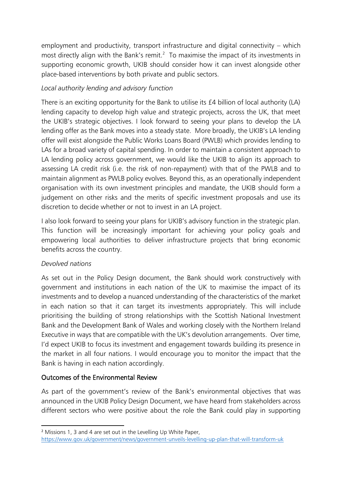employment and productivity, transport infrastructure and digital connectivity – which most directly align with the Bank's remit.<sup>2</sup> To maximise the impact of its investments in supporting economic growth, UKIB should consider how it can invest alongside other place-based interventions by both private and public sectors.

# *Local authority lending and advisory function*

There is an exciting opportunity for the Bank to utilise its £4 billion of local authority (LA) lending capacity to develop high value and strategic projects, across the UK, that meet the UKIB's strategic objectives. I look forward to seeing your plans to develop the LA lending offer as the Bank moves into a steady state. More broadly, the UKIB's LA lending offer will exist alongside the Public Works Loans Board (PWLB) which provides lending to LAs for a broad variety of capital spending. In order to maintain a consistent approach to LA lending policy across government, we would like the UKIB to align its approach to assessing LA credit risk (i.e. the risk of non-repayment) with that of the PWLB and to maintain alignment as PWLB policy evolves. Beyond this, as an operationally independent organisation with its own investment principles and mandate, the UKIB should form a judgement on other risks and the merits of specific investment proposals and use its discretion to decide whether or not to invest in an LA project.

I also look forward to seeing your plans for UKIB's advisory function in the strategic plan. This function will be increasingly important for achieving your policy goals and empowering local authorities to deliver infrastructure projects that bring economic benefits across the country.

## *Devolved nations*

As set out in the Policy Design document, the Bank should work constructively with government and institutions in each nation of the UK to maximise the impact of its investments and to develop a nuanced understanding of the characteristics of the market in each nation so that it can target its investments appropriately. This will include prioritising the building of strong relationships with the Scottish National Investment Bank and the Development Bank of Wales and working closely with the Northern Ireland Executive in ways that are compatible with the UK's devolution arrangements. Over time, I'd expect UKIB to focus its investment and engagement towards building its presence in the market in all four nations. I would encourage you to monitor the impact that the Bank is having in each nation accordingly.

## Outcomes of the Environmental Review

As part of the government's review of the Bank's environmental objectives that was announced in the UKIB Policy Design Document, we have heard from stakeholders across different sectors who were positive about the role the Bank could play in supporting

<sup>2</sup> Missions 1, 3 and 4 are set out in the Levelling Up White Paper,

<https://www.gov.uk/government/news/government-unveils-levelling-up-plan-that-will-transform-uk>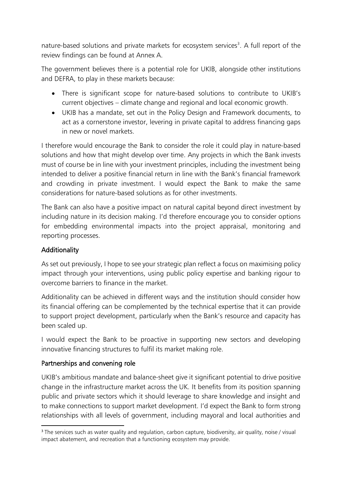nature-based solutions and private markets for ecosystem services<sup>3</sup>. A full report of the review findings can be found at Annex A.

The government believes there is a potential role for UKIB, alongside other institutions and DEFRA, to play in these markets because:

- There is significant scope for nature-based solutions to contribute to UKIB's current objectives – climate change and regional and local economic growth.
- UKIB has a mandate, set out in the Policy Design and Framework documents, to act as a cornerstone investor, levering in private capital to address financing gaps in new or novel markets.

I therefore would encourage the Bank to consider the role it could play in nature-based solutions and how that might develop over time. Any projects in which the Bank invests must of course be in line with your investment principles, including the investment being intended to deliver a positive financial return in line with the Bank's financial framework and crowding in private investment. I would expect the Bank to make the same considerations for nature-based solutions as for other investments.

The Bank can also have a positive impact on natural capital beyond direct investment by including nature in its decision making. I'd therefore encourage you to consider options for embedding environmental impacts into the project appraisal, monitoring and reporting processes.

# Additionality

As set out previously, I hope to see your strategic plan reflect a focus on maximising policy impact through your interventions, using public policy expertise and banking rigour to overcome barriers to finance in the market.

Additionality can be achieved in different ways and the institution should consider how its financial offering can be complemented by the technical expertise that it can provide to support project development, particularly when the Bank's resource and capacity has been scaled up.

I would expect the Bank to be proactive in supporting new sectors and developing innovative financing structures to fulfil its market making role.

## Partnerships and convening role

UKIB's ambitious mandate and balance-sheet give it significant potential to drive positive change in the infrastructure market across the UK. It benefits from its position spanning public and private sectors which it should leverage to share knowledge and insight and to make connections to support market development. I'd expect the Bank to form strong relationships with all levels of government, including mayoral and local authorities and

<sup>&</sup>lt;sup>3</sup> The services such as water quality and regulation, carbon capture, biodiversity, air quality, noise / visual impact abatement, and recreation that a functioning ecosystem may provide.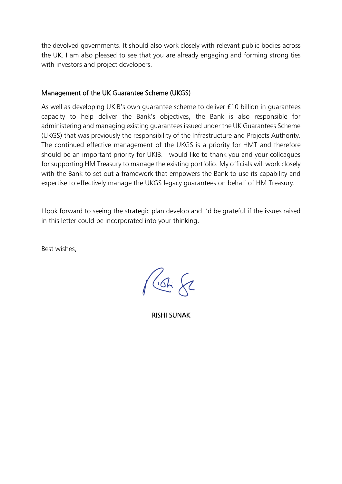the devolved governments. It should also work closely with relevant public bodies across the UK. I am also pleased to see that you are already engaging and forming strong ties with investors and project developers.

#### Management of the UK Guarantee Scheme (UKGS)

As well as developing UKIB's own guarantee scheme to deliver £10 billion in guarantees capacity to help deliver the Bank's objectives, the Bank is also responsible for administering and managing existing guarantees issued under the UK Guarantees Scheme (UKGS) that was previously the responsibility of the Infrastructure and Projects Authority. The continued effective management of the UKGS is a priority for HMT and therefore should be an important priority for UKIB. I would like to thank you and your colleagues for supporting HM Treasury to manage the existing portfolio. My officials will work closely with the Bank to set out a framework that empowers the Bank to use its capability and expertise to effectively manage the UKGS legacy guarantees on behalf of HM Treasury.

I look forward to seeing the strategic plan develop and I'd be grateful if the issues raised in this letter could be incorporated into your thinking.

Best wishes,

 $1662$ 

RISHI SUNAK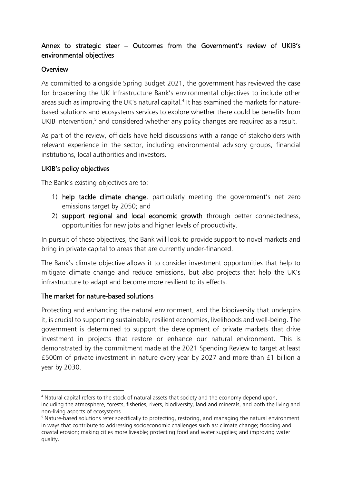# Annex to strategic steer – Outcomes from the Government's review of UKIB's environmental objectives

#### **Overview**

As committed to alongside Spring Budget 2021, the government has reviewed the case for broadening the UK Infrastructure Bank's environmental objectives to include other areas such as improving the UK's natural capital.<sup>4</sup> It has examined the markets for naturebased solutions and ecosystems services to explore whether there could be benefits from UKIB intervention,<sup>5</sup> and considered whether any policy changes are required as a result.

As part of the review, officials have held discussions with a range of stakeholders with relevant experience in the sector, including environmental advisory groups, financial institutions, local authorities and investors.

#### UKIB's policy objectives

The Bank's existing objectives are to:

- 1) help tackle climate change, particularly meeting the government's net zero emissions target by 2050; and
- 2) support regional and local economic growth through better connectedness, opportunities for new jobs and higher levels of productivity.

In pursuit of these objectives, the Bank will look to provide support to novel markets and bring in private capital to areas that are currently under-financed.

The Bank's climate objective allows it to consider investment opportunities that help to mitigate climate change and reduce emissions, but also projects that help the UK's infrastructure to adapt and become more resilient to its effects.

## The market for nature-based solutions

Protecting and enhancing the natural environment, and the biodiversity that underpins it, is crucial to supporting sustainable, resilient economies, livelihoods and well-being. The government is determined to support the development of private markets that drive investment in projects that restore or enhance our natural environment. This is demonstrated by the commitment made at the 2021 Spending Review to target at least £500m of private investment in nature every year by 2027 and more than £1 billion a year by 2030.

<sup>4</sup> Natural capital refers to the stock of natural assets that society and the economy depend upon,

including the atmosphere, forests, fisheries, rivers, biodiversity, land and minerals, and both the living and non-living aspects of ecosystems.

<sup>5</sup> Nature-based solutions refer specifically to protecting, restoring, and managing the natural environment in ways that contribute to addressing socioeconomic challenges such as: climate change; flooding and coastal erosion; making cities more liveable; protecting food and water supplies; and improving water quality.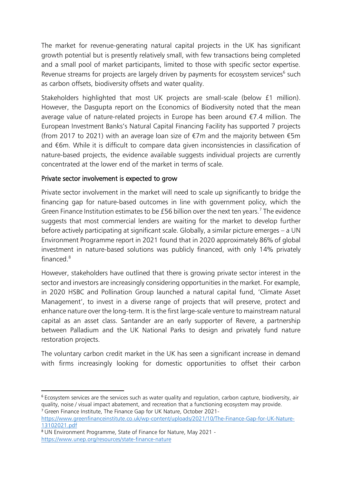The market for revenue-generating natural capital projects in the UK has significant growth potential but is presently relatively small, with few transactions being completed and a small pool of market participants, limited to those with specific sector expertise. Revenue streams for projects are largely driven by payments for ecosystem services<sup>6</sup> such as carbon offsets, biodiversity offsets and water quality.

Stakeholders highlighted that most UK projects are small-scale (below £1 million). However, the Dasgupta report on the Economics of Biodiversity noted that the mean average value of nature-related projects in Europe has been around €7.4 million. The European Investment Banks's Natural Capital Financing Facility has supported 7 projects (from 2017 to 2021) with an average loan size of €7m and the majority between €5m and €6m. While it is difficult to compare data given inconsistencies in classification of nature-based projects, the evidence available suggests individual projects are currently concentrated at the lower end of the market in terms of scale.

## Private sector involvement is expected to grow

Private sector involvement in the market will need to scale up significantly to bridge the financing gap for nature-based outcomes in line with government policy, which the Green Finance Institution estimates to be  $£56$  billion over the next ten years.<sup>7</sup> The evidence suggests that most commercial lenders are waiting for the market to develop further before actively participating at significant scale. Globally, a similar picture emerges – a UN Environment Programme report in 2021 found that in 2020 approximately 86% of global investment in nature-based solutions was publicly financed, with only 14% privately financed.<sup>8</sup>

However, stakeholders have outlined that there is growing private sector interest in the sector and investors are increasingly considering opportunities in the market. For example, in 2020 HSBC and Pollination Group launched a natural capital fund, 'Climate Asset Management', to invest in a diverse range of projects that will preserve, protect and enhance nature over the long-term. It is the first large-scale venture to mainstream natural capital as an asset class. Santander are an early supporter of Revere, a partnership between Palladium and the UK National Parks to design and privately fund nature restoration projects.

The voluntary carbon credit market in the UK has seen a significant increase in demand with firms increasingly looking for domestic opportunities to offset their carbon

<sup>6</sup> Ecosystem services are the services such as water quality and regulation, carbon capture, biodiversity, air quality, noise / visual impact abatement, and recreation that a functioning ecosystem may provide. <sup>7</sup> Green Finance Institute, The Finance Gap for UK Nature, October 2021-

[https://www.greenfinanceinstitute.co.uk/wp-content/uploads/2021/10/The-Finance-Gap-for-UK-Nature-](https://www.greenfinanceinstitute.co.uk/wp-content/uploads/2021/10/The-Finance-Gap-for-UK-Nature-13102021.pdf)[13102021.pdf](https://www.greenfinanceinstitute.co.uk/wp-content/uploads/2021/10/The-Finance-Gap-for-UK-Nature-13102021.pdf)

<sup>8</sup> UN Environment Programme, State of Finance for Nature, May 2021 https://www.unep.org/resources/state-finance-nature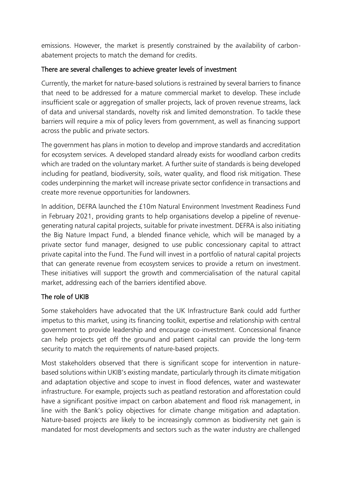emissions. However, the market is presently constrained by the availability of carbonabatement projects to match the demand for credits.

## There are several challenges to achieve greater levels of investment

Currently, the market for nature-based solutions is restrained by several barriers to finance that need to be addressed for a mature commercial market to develop. These include insufficient scale or aggregation of smaller projects, lack of proven revenue streams, lack of data and universal standards, novelty risk and limited demonstration. To tackle these barriers will require a mix of policy levers from government, as well as financing support across the public and private sectors.

The government has plans in motion to develop and improve standards and accreditation for ecosystem services. A developed standard already exists for woodland carbon credits which are traded on the voluntary market. A further suite of standards is being developed including for peatland, biodiversity, soils, water quality, and flood risk mitigation. These codes underpinning the market will increase private sector confidence in transactions and create more revenue opportunities for landowners.

In addition, DEFRA launched the £10m Natural Environment Investment Readiness Fund in February 2021, providing grants to help organisations develop a pipeline of revenuegenerating natural capital projects, suitable for private investment. DEFRA is also initiating the Big Nature Impact Fund, a blended finance vehicle, which will be managed by a private sector fund manager, designed to use public concessionary capital to attract private capital into the Fund. The Fund will invest in a portfolio of natural capital projects that can generate revenue from ecosystem services to provide a return on investment. These initiatives will support the growth and commercialisation of the natural capital market, addressing each of the barriers identified above.

## The role of UKIB

Some stakeholders have advocated that the UK Infrastructure Bank could add further impetus to this market, using its financing toolkit, expertise and relationship with central government to provide leadership and encourage co-investment. Concessional finance can help projects get off the ground and patient capital can provide the long-term security to match the requirements of nature-based projects.

Most stakeholders observed that there is significant scope for intervention in naturebased solutions within UKIB's existing mandate, particularly through its climate mitigation and adaptation objective and scope to invest in flood defences, water and wastewater infrastructure. For example, projects such as peatland restoration and afforestation could have a significant positive impact on carbon abatement and flood risk management, in line with the Bank's policy objectives for climate change mitigation and adaptation. Nature-based projects are likely to be increasingly common as biodiversity net gain is mandated for most developments and sectors such as the water industry are challenged